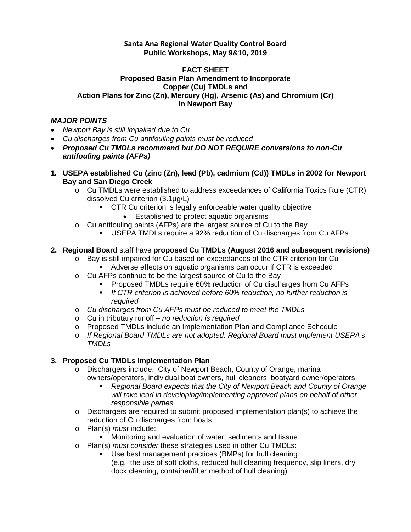### **Santa Ana Regional Water Quality Control Board Public Workshops, May 9&10, 2019**

#### **FACT SHEET Proposed Basin Plan Amendment to Incorporate Copper (Cu) TMDLs and Action Plans for Zinc (Zn), Mercury (Hg), Arsenic (As) and Chromium (Cr) in Newport Bay**

## *MAJOR POINTS*

- *Newport Bay is still impaired due to Cu*
- *Cu discharges from Cu antifouling paints must be reduced*
- *Proposed Cu TMDLs recommend but DO NOT REQUIRE conversions to non-Cu antifouling paints (AFPs)*
- **1. USEPA established Cu (zinc (Zn), lead (Pb), cadmium (Cd)) TMDLs in 2002 for Newport Bay and San Diego Creek**
	- o Cu TMDLs were established to address exceedances of California Toxics Rule (CTR) dissolved Cu criterion (3.1µg/L)
		- **CTR Cu criterion is legally enforceable water quality objective** 
			- Established to protect aquatic organisms
	- o Cu antifouling paints (AFPs) are the largest source of Cu to the Bay
		- USEPA TMDLs require a 92% reduction of Cu discharges from Cu AFPs

## **2. Regional Board** staff have **proposed Cu TMDLs (August 2016 and subsequent revisions)**

- o Bay is still impaired for Cu based on exceedances of the CTR criterion for Cu Adverse effects on aquatic organisms can occur if CTR is exceeded
- o Cu AFPs continue to be the largest source of Cu to the Bay
	- **Proposed TMDLs require 60% reduction of Cu discharges from Cu AFPs** 
		- *If CTR criterion is achieved before 60% reduction, no further reduction is required*
- o *Cu discharges from Cu AFPs must be reduced to meet the TMDLs*
- o Cu in tributary runoff *no reduction is required*
- o Proposed TMDLs include an Implementation Plan and Compliance Schedule
- o *If Regional Board TMDLs are not adopted, Regional Board must implement USEPA's TMDLs*

# **3. Proposed Cu TMDLs Implementation Plan**

- o Dischargers include: City of Newport Beach, County of Orange, marina owners/operators, individual boat owners, hull cleaners, boatyard owner/operators
	- *Regional Board expects that the City of Newport Beach and County of Orange will take lead in developing/implementing approved plans on behalf of other responsible parties*
- o Dischargers are required to submit proposed implementation plan(s) to achieve the reduction of Cu discharges from boats
- o Plan(s) *must* include:
	- Monitoring and evaluation of water, sediments and tissue
- o Plan(s) *must consider* these strategies used in other Cu TMDLs:
	- Use best management practices (BMPs) for hull cleaning (e.g. the use of soft cloths, reduced hull cleaning frequency, slip liners, dry
		- dock cleaning, container/filter method of hull cleaning)